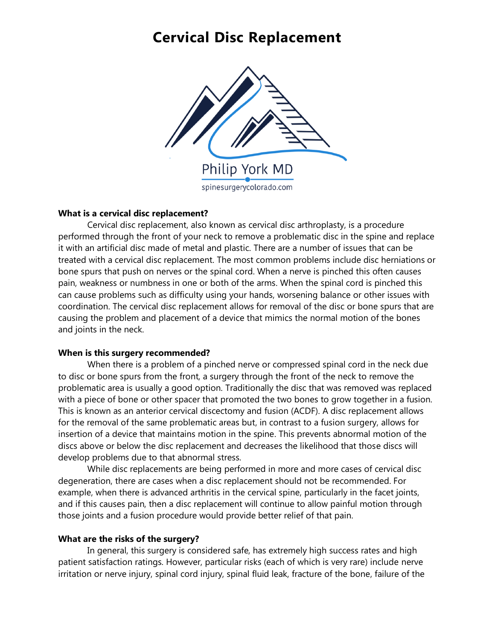### **Cervical Disc Replacement**



### **What is a cervical disc replacement?**

Cervical disc replacement, also known as cervical disc arthroplasty, is a procedure performed through the front of your neck to remove a problematic disc in the spine and replace it with an artificial disc made of metal and plastic. There are a number of issues that can be treated with a cervical disc replacement. The most common problems include disc herniations or bone spurs that push on nerves or the spinal cord. When a nerve is pinched this often causes pain, weakness or numbness in one or both of the arms. When the spinal cord is pinched this can cause problems such as difficulty using your hands, worsening balance or other issues with coordination. The cervical disc replacement allows for removal of the disc or bone spurs that are causing the problem and placement of a device that mimics the normal motion of the bones and joints in the neck.

### **When is this surgery recommended?**

When there is a problem of a pinched nerve or compressed spinal cord in the neck due to disc or bone spurs from the front, a surgery through the front of the neck to remove the problematic area is usually a good option. Traditionally the disc that was removed was replaced with a piece of bone or other spacer that promoted the two bones to grow together in a fusion. This is known as an anterior cervical discectomy and fusion (ACDF). A disc replacement allows for the removal of the same problematic areas but, in contrast to a fusion surgery, allows for insertion of a device that maintains motion in the spine. This prevents abnormal motion of the discs above or below the disc replacement and decreases the likelihood that those discs will develop problems due to that abnormal stress.

While disc replacements are being performed in more and more cases of cervical disc degeneration, there are cases when a disc replacement should not be recommended. For example, when there is advanced arthritis in the cervical spine, particularly in the facet joints, and if this causes pain, then a disc replacement will continue to allow painful motion through those joints and a fusion procedure would provide better relief of that pain.

### **What are the risks of the surgery?**

In general, this surgery is considered safe, has extremely high success rates and high patient satisfaction ratings. However, particular risks (each of which is very rare) include nerve irritation or nerve injury, spinal cord injury, spinal fluid leak, fracture of the bone, failure of the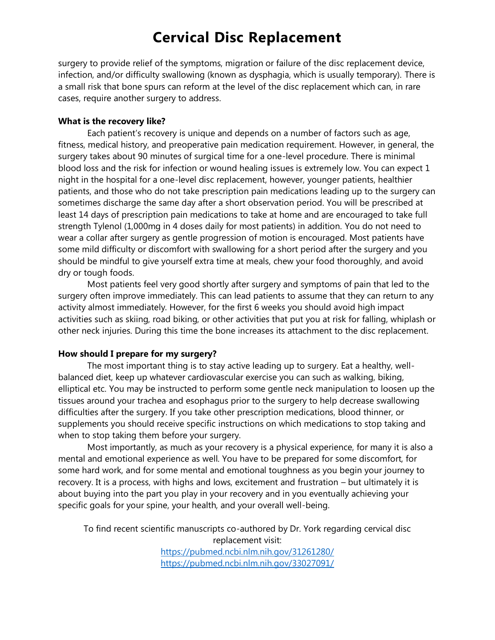## **Cervical Disc Replacement**

surgery to provide relief of the symptoms, migration or failure of the disc replacement device, infection, and/or difficulty swallowing (known as dysphagia, which is usually temporary). There is a small risk that bone spurs can reform at the level of the disc replacement which can, in rare cases, require another surgery to address.

### **What is the recovery like?**

Each patient's recovery is unique and depends on a number of factors such as age, fitness, medical history, and preoperative pain medication requirement. However, in general, the surgery takes about 90 minutes of surgical time for a one-level procedure. There is minimal blood loss and the risk for infection or wound healing issues is extremely low. You can expect 1 night in the hospital for a one-level disc replacement, however, younger patients, healthier patients, and those who do not take prescription pain medications leading up to the surgery can sometimes discharge the same day after a short observation period. You will be prescribed at least 14 days of prescription pain medications to take at home and are encouraged to take full strength Tylenol (1,000mg in 4 doses daily for most patients) in addition. You do not need to wear a collar after surgery as gentle progression of motion is encouraged. Most patients have some mild difficulty or discomfort with swallowing for a short period after the surgery and you should be mindful to give yourself extra time at meals, chew your food thoroughly, and avoid dry or tough foods.

Most patients feel very good shortly after surgery and symptoms of pain that led to the surgery often improve immediately. This can lead patients to assume that they can return to any activity almost immediately. However, for the first 6 weeks you should avoid high impact activities such as skiing, road biking, or other activities that put you at risk for falling, whiplash or other neck injuries. During this time the bone increases its attachment to the disc replacement.

### **How should I prepare for my surgery?**

The most important thing is to stay active leading up to surgery. Eat a healthy, wellbalanced diet, keep up whatever cardiovascular exercise you can such as walking, biking, elliptical etc. You may be instructed to perform some gentle neck manipulation to loosen up the tissues around your trachea and esophagus prior to the surgery to help decrease swallowing difficulties after the surgery. If you take other prescription medications, blood thinner, or supplements you should receive specific instructions on which medications to stop taking and when to stop taking them before your surgery.

Most importantly, as much as your recovery is a physical experience, for many it is also a mental and emotional experience as well. You have to be prepared for some discomfort, for some hard work, and for some mental and emotional toughness as you begin your journey to recovery. It is a process, with highs and lows, excitement and frustration – but ultimately it is about buying into the part you play in your recovery and in you eventually achieving your specific goals for your spine, your health, and your overall well-being.

To find recent scientific manuscripts co-authored by Dr. York regarding cervical disc replacement visit: <https://pubmed.ncbi.nlm.nih.gov/31261280/>

<https://pubmed.ncbi.nlm.nih.gov/33027091/>